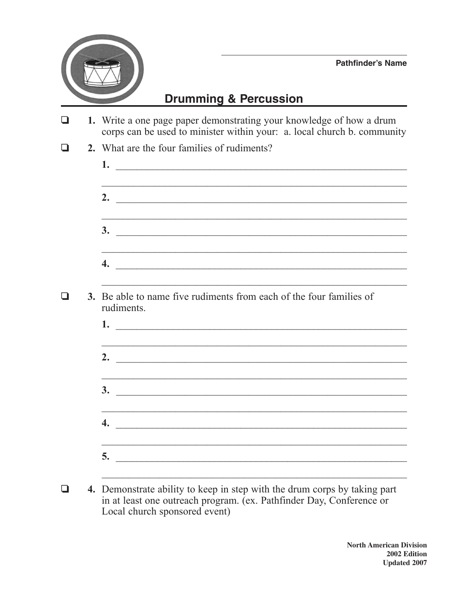

## **Drumming & Percussion**

| 1. Write a one page paper demonstrating your knowledge of how a drum<br>corps can be used to minister within your: a. local church b. community                                                                                               |  |  |  |  |
|-----------------------------------------------------------------------------------------------------------------------------------------------------------------------------------------------------------------------------------------------|--|--|--|--|
| 2. What are the four families of rudiments?                                                                                                                                                                                                   |  |  |  |  |
|                                                                                                                                                                                                                                               |  |  |  |  |
|                                                                                                                                                                                                                                               |  |  |  |  |
| <u> 1989 - Johann Stoff, amerikansk politiker (d. 1989)</u><br>$\overline{\mathbf{3.}}$                                                                                                                                                       |  |  |  |  |
| <u> 2000 - Jan Barnett, amerikan basar dan berasal di basa dan basar dan basa dan basa dan basa dalam basa dalam </u><br>$\overline{4}$ .                                                                                                     |  |  |  |  |
| 3. Be able to name five rudiments from each of the four families of<br>rudiments.                                                                                                                                                             |  |  |  |  |
| 1.                                                                                                                                                                                                                                            |  |  |  |  |
| <u> 1989 - Johann Harry Harry Harry Harry Harry Harry Harry Harry Harry Harry Harry Harry Harry Harry Harry Harry</u><br>2. $\overline{\phantom{a}}$                                                                                          |  |  |  |  |
| $\overline{\mathbf{3.}}$                                                                                                                                                                                                                      |  |  |  |  |
| <u> 1989 - Johann John Harry Harry Harry Harry Harry Harry Harry Harry Harry Harry Harry Harry Harry Harry Harry</u><br>4.<br><u> 2000 - Jan Barbara, margaret a shekara tsara mashrida a shekara tsara mashrida a shekara tsara mashrida</u> |  |  |  |  |
| <u> 1989 - Johann Stoff, amerikansk politiker (d. 1989)</u>                                                                                                                                                                                   |  |  |  |  |
|                                                                                                                                                                                                                                               |  |  |  |  |

4. Demonstrate ability to keep in step with the drum corps by taking part  $\Box$ in at least one outreach program. (ex. Pathfinder Day, Conference or Local church sponsored event)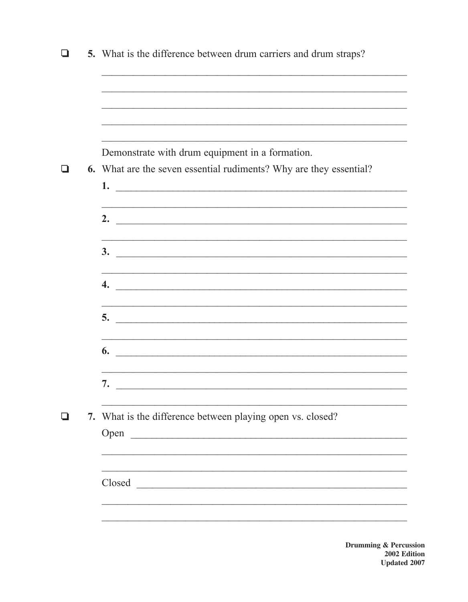| 5. What is the difference between drum carriers and drum straps?                                                                |
|---------------------------------------------------------------------------------------------------------------------------------|
|                                                                                                                                 |
|                                                                                                                                 |
| Demonstrate with drum equipment in a formation.<br>6. What are the seven essential rudiments? Why are they essential?           |
| 2. $\overline{\phantom{a}}$                                                                                                     |
| <u> 1999 - Jan Barat, Amerikaansk politiker (* 1905)</u><br>$3.$ $\overline{\phantom{a}}$                                       |
| <u> 1989 - Johann Stoff, amerikansk politiker (d. 1989)</u>                                                                     |
|                                                                                                                                 |
| 6.<br><u> 2000 - Jan James James Jan James James James James James James James James James James James James James James Ja</u> |
| 7.                                                                                                                              |
| 7. What is the difference between playing open vs. closed?<br>Open                                                              |
| Closed                                                                                                                          |
|                                                                                                                                 |

**ussion** ng & Percussion<br>2002 Edition<br>Updated 2007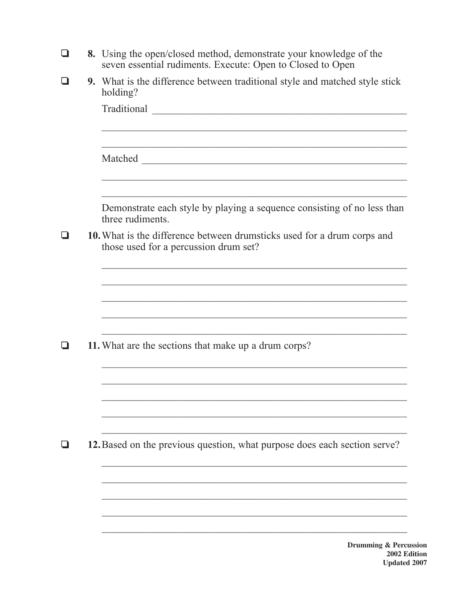| ப |  | 8. Using the open/closed method, demonstrate your knowledge of the<br>seven essential rudiments. Execute: Open to Closed to Open |  |  |  |  |  |
|---|--|----------------------------------------------------------------------------------------------------------------------------------|--|--|--|--|--|
|   |  | 9. What is the difference between traditional style and matched style stick<br>holding?                                          |  |  |  |  |  |
|   |  |                                                                                                                                  |  |  |  |  |  |
|   |  |                                                                                                                                  |  |  |  |  |  |
|   |  | Demonstrate each style by playing a sequence consisting of no less than<br>three rudiments.                                      |  |  |  |  |  |
|   |  | 10. What is the difference between drumsticks used for a drum corps and<br>those used for a percussion drum set?                 |  |  |  |  |  |
|   |  |                                                                                                                                  |  |  |  |  |  |
|   |  |                                                                                                                                  |  |  |  |  |  |
|   |  | 11. What are the sections that make up a drum corps?                                                                             |  |  |  |  |  |
|   |  |                                                                                                                                  |  |  |  |  |  |
|   |  |                                                                                                                                  |  |  |  |  |  |
|   |  | 12. Based on the previous question, what purpose does each section serve?                                                        |  |  |  |  |  |
|   |  |                                                                                                                                  |  |  |  |  |  |
|   |  |                                                                                                                                  |  |  |  |  |  |
|   |  | Drumming & Percu                                                                                                                 |  |  |  |  |  |

**ission**  $2002$  Edition **Updated 2007**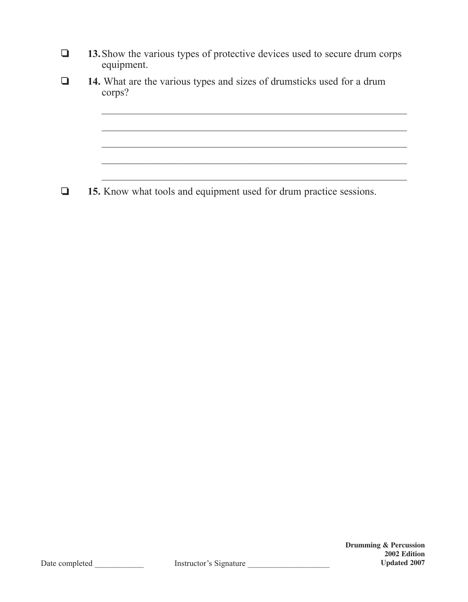| $\Box$ | <b>13.</b> Show the various types of protective devices used to secure drum corps |  |  |  |
|--------|-----------------------------------------------------------------------------------|--|--|--|
|        | equipment.                                                                        |  |  |  |

 $\mathcal{L}_\text{max}$  , and the contract of the contract of the contract of the contract of the contract of the contract of the contract of the contract of the contract of the contract of the contract of the contract of the contr

 $\mathcal{L}_\text{max}$  and the contract of the contract of the contract of the contract of the contract of the contract of

 $\mathcal{L}_\text{max}$  , and the contract of the contract of the contract of the contract of the contract of the contract of the contract of the contract of the contract of the contract of the contract of the contract of the contr

❏ **14.** What are the various types and sizes of drumsticks used for a drum corps?

❏ **15.** Know what tools and equipment used for drum practice sessions.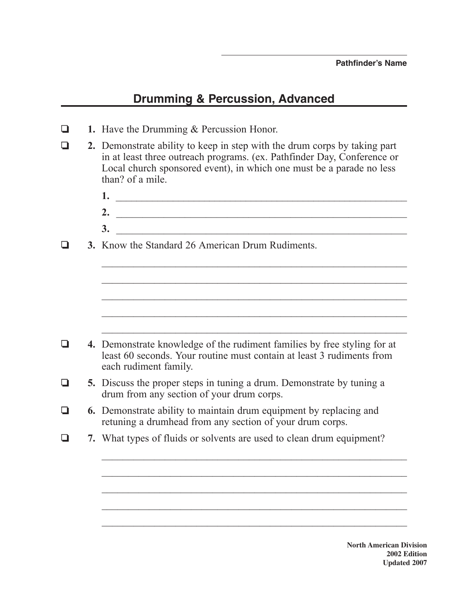## **Drumming & Percussion, Advanced**

- ❏ **1.** Have the Drumming & Percussion Honor.
- ❏ **2.** Demonstrate ability to keep in step with the drum corps by taking part in at least three outreach programs. (ex. Pathfinder Day, Conference or Local church sponsored event), in which one must be a parade no less than? of a mile.
- 1. **2.** \_\_\_\_\_\_\_\_\_\_\_\_\_\_\_\_\_\_\_\_\_\_\_\_\_\_\_\_\_\_\_\_\_\_\_\_\_\_\_\_\_\_\_\_\_\_\_\_\_\_\_\_\_\_\_ **3.** \_\_\_\_\_\_\_\_\_\_\_\_\_\_\_\_\_\_\_\_\_\_\_\_\_\_\_\_\_\_\_\_\_\_\_\_\_\_\_\_\_\_\_\_\_\_\_\_\_\_\_\_\_\_\_ ❏ **3.** Know the Standard 26 American Drum Rudiments.  $\mathcal{L}_\text{max}$  and the contract of the contract of the contract of the contract of the contract of the contract of  $\mathcal{L}_\text{max}$  , and the contract of the contract of the contract of the contract of the contract of the contract of the contract of the contract of the contract of the contract of the contract of the contract of the contr  $\mathcal{L}_\text{max}$  , and the contract of the contract of the contract of the contract of the contract of the contract of the contract of the contract of the contract of the contract of the contract of the contract of the contr  $\mathcal{L}_\text{max}$  , and the contract of the contract of the contract of the contract of the contract of the contract of the contract of the contract of the contract of the contract of the contract of the contract of the contr ❏ **4.** Demonstrate knowledge of the rudiment families by free styling for at least 60 seconds. Your routine must contain at least 3 rudiments from each rudiment family. ❏ **5.** Discuss the proper steps in tuning a drum. Demonstrate by tuning a drum from any section of your drum corps. ❏ **6.** Demonstrate ability to maintain drum equipment by replacing and retuning a drumhead from any section of your drum corps. ❏ **7.** What types of fluids or solvents are used to clean drum equipment?  $\mathcal{L}_\text{max}$  , and the contract of the contract of the contract of the contract of the contract of the contract of the contract of the contract of the contract of the contract of the contract of the contract of the contr  $\mathcal{L}_\text{max}$  and the contract of the contract of the contract of the contract of the contract of the contract of  $\mathcal{L}_\text{max}$  , and the contract of the contract of the contract of the contract of the contract of the contract of the contract of the contract of the contract of the contract of the contract of the contract of the contr

 $\mathcal{L}_\text{max}$  , and the contract of the contract of the contract of the contract of the contract of the contract of the contract of the contract of the contract of the contract of the contract of the contract of the contr